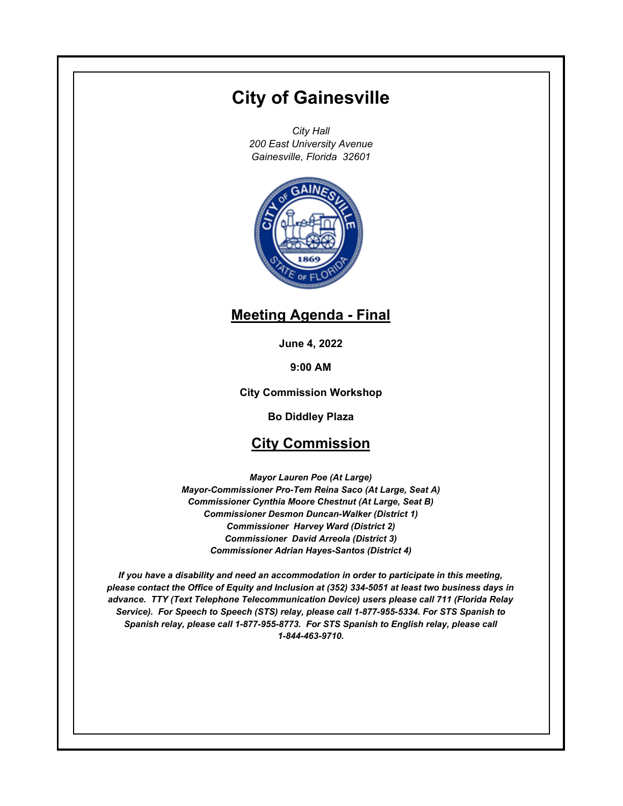# **City of Gainesville**

*City Hall 200 East University Avenue Gainesville, Florida 32601*



# **Meeting Agenda - Final**

**June 4, 2022**

**9:00 AM**

**City Commission Workshop**

**Bo Diddley Plaza**

# **City Commission**

*Mayor Lauren Poe (At Large) Mayor-Commissioner Pro-Tem Reina Saco (At Large, Seat A) Commissioner Cynthia Moore Chestnut (At Large, Seat B) Commissioner Desmon Duncan-Walker (District 1) Commissioner Harvey Ward (District 2) Commissioner David Arreola (District 3) Commissioner Adrian Hayes-Santos (District 4)*

*If you have a disability and need an accommodation in order to participate in this meeting, please contact the Office of Equity and Inclusion at (352) 334-5051 at least two business days in advance. TTY (Text Telephone Telecommunication Device) users please call 711 (Florida Relay Service). For Speech to Speech (STS) relay, please call 1-877-955-5334. For STS Spanish to Spanish relay, please call 1-877-955-8773. For STS Spanish to English relay, please call 1-844-463-9710.*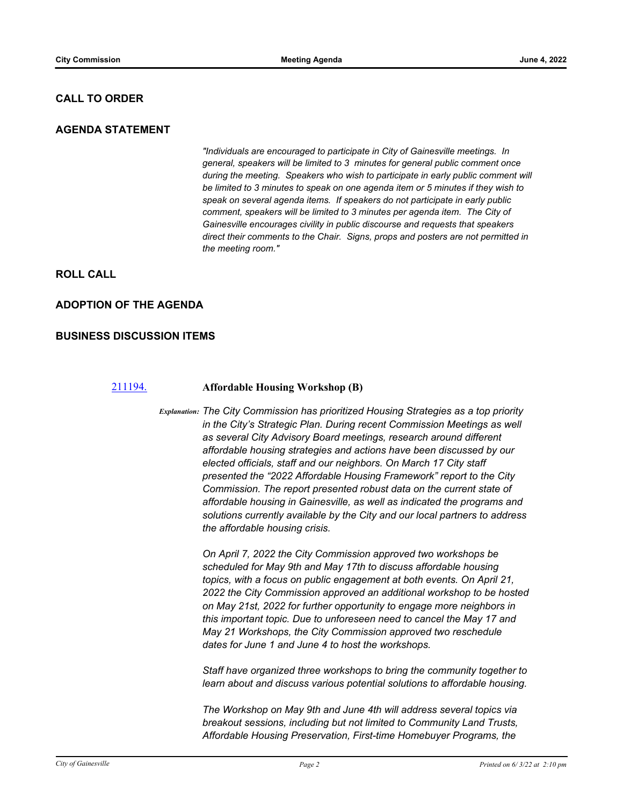### **CALL TO ORDER**

### **AGENDA STATEMENT**

*"Individuals are encouraged to participate in City of Gainesville meetings. In general, speakers will be limited to 3 minutes for general public comment once during the meeting. Speakers who wish to participate in early public comment will be limited to 3 minutes to speak on one agenda item or 5 minutes if they wish to speak on several agenda items. If speakers do not participate in early public comment, speakers will be limited to 3 minutes per agenda item. The City of Gainesville encourages civility in public discourse and requests that speakers direct their comments to the Chair. Signs, props and posters are not permitted in the meeting room."*

### **ROLL CALL**

#### **ADOPTION OF THE AGENDA**

#### **BUSINESS DISCUSSION ITEMS**

#### [211194.](http://gainesville.legistar.com/gateway.aspx?m=l&id=/matter.aspx?key=33976) **Affordable Housing Workshop (B)**

*Explanation: The City Commission has prioritized Housing Strategies as a top priority in the City's Strategic Plan. During recent Commission Meetings as well as several City Advisory Board meetings, research around different affordable housing strategies and actions have been discussed by our elected officials, staff and our neighbors. On March 17 City staff presented the "2022 Affordable Housing Framework" report to the City Commission. The report presented robust data on the current state of affordable housing in Gainesville, as well as indicated the programs and solutions currently available by the City and our local partners to address the affordable housing crisis.*

> *On April 7, 2022 the City Commission approved two workshops be scheduled for May 9th and May 17th to discuss affordable housing topics, with a focus on public engagement at both events. On April 21, 2022 the City Commission approved an additional workshop to be hosted on May 21st, 2022 for further opportunity to engage more neighbors in this important topic. Due to unforeseen need to cancel the May 17 and May 21 Workshops, the City Commission approved two reschedule dates for June 1 and June 4 to host the workshops.*

> *Staff have organized three workshops to bring the community together to learn about and discuss various potential solutions to affordable housing.*

*The Workshop on May 9th and June 4th will address several topics via breakout sessions, including but not limited to Community Land Trusts, Affordable Housing Preservation, First-time Homebuyer Programs, the*